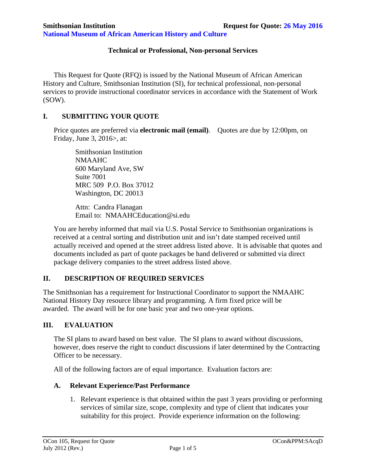**National Museum of African American History and Culture** 

#### **Technical or Professional, Non-personal Services**

 This Request for Quote (RFQ) is issued by the National Museum of African American History and Culture, Smithsonian Institution (SI), for technical professional, non-personal services to provide instructional coordinator services in accordance with the Statement of Work (SOW).

### **I. SUBMITTING YOUR QUOTE**

Price quotes are preferred via **electronic mail (email)**. Quotes are due by 12:00pm, on Friday, June 3, 2016>, at:

Smithsonian Institution NMAAHC 600 Maryland Ave, SW Suite 7001 MRC 509 P.O. Box 37012 Washington, DC 20013

Attn: Candra Flanagan Email to:NMAAHCEducation@si.edu

You are hereby informed that mail via U.S. Postal Service to Smithsonian organizations is received at a central sorting and distribution unit and isn't date stamped received until actually received and opened at the street address listed above. It is advisable that quotes and documents included as part of quote packages be hand delivered or submitted via direct package delivery companies to the street address listed above.

## **II. DESCRIPTION OF REQUIRED SERVICES**

The Smithsonian has a requirement for Instructional Coordinator to support the NMAAHC National History Day resource library and programming. A firm fixed price will be awarded. The award will be for one basic year and two one-year options.

#### **III. EVALUATION**

The SI plans to award based on best value. The SI plans to award without discussions, however, does reserve the right to conduct discussions if later determined by the Contracting Officer to be necessary.

All of the following factors are of equal importance. Evaluation factors are:

#### **A. Relevant Experience/Past Performance**

1. Relevant experience is that obtained within the past 3 years providing or performing services of similar size, scope, complexity and type of client that indicates your suitability for this project. Provide experience information on the following: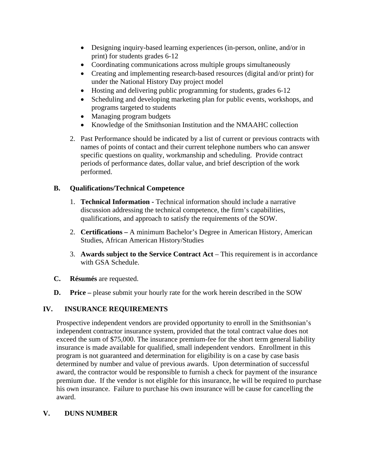- Designing inquiry-based learning experiences (in-person, online, and/or in print) for students grades 6-12
- Coordinating communications across multiple groups simultaneously
- Creating and implementing research-based resources (digital and/or print) for under the National History Day project model
- Hosting and delivering public programming for students, grades 6-12
- Scheduling and developing marketing plan for public events, workshops, and programs targeted to students
- Managing program budgets
- Knowledge of the Smithsonian Institution and the NMAAHC collection
- 2. Past Performance should be indicated by a list of current or previous contracts with names of points of contact and their current telephone numbers who can answer specific questions on quality, workmanship and scheduling. Provide contract periods of performance dates, dollar value, and brief description of the work performed.

# **B. Qualifications/Technical Competence**

- 1. **Technical Information** Technical information should include a narrative discussion addressing the technical competence, the firm's capabilities, qualifications, and approach to satisfy the requirements of the SOW.
- 2. **Certifications** A minimum Bachelor's Degree in American History, American Studies, African American History/Studies
- 3. **Awards subject to the Service Contract Act** This requirement is in accordance with GSA Schedule.
- **C. Résumés** are requested.
- **D.** Price please submit your hourly rate for the work herein described in the SOW

# **IV. INSURANCE REQUIREMENTS**

Prospective independent vendors are provided opportunity to enroll in the Smithsonian's independent contractor insurance system, provided that the total contract value does not exceed the sum of \$75,000. The insurance premium-fee for the short term general liability insurance is made available for qualified, small independent vendors. Enrollment in this program is not guaranteed and determination for eligibility is on a case by case basis determined by number and value of previous awards. Upon determination of successful award, the contractor would be responsible to furnish a check for payment of the insurance premium due. If the vendor is not eligible for this insurance, he will be required to purchase his own insurance. Failure to purchase his own insurance will be cause for cancelling the award.

# **V. DUNS NUMBER**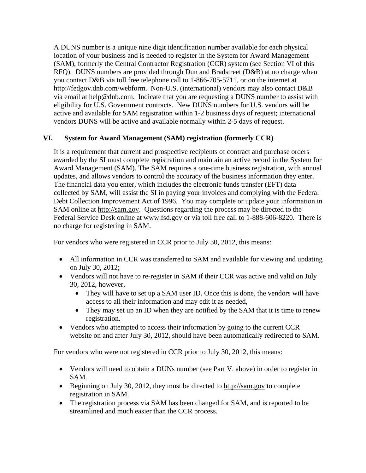A DUNS number is a unique nine digit identification number available for each physical location of your business and is needed to register in the System for Award Management (SAM), formerly the Central Contractor Registration (CCR) system (see Section VI of this RFQ). DUNS numbers are provided through Dun and Bradstreet (D&B) at no charge when you contact D&B via toll free telephone call to 1-866-705-5711, or on the internet at http://fedgov.dnb.com/webform. Non-U.S. (international) vendors may also contact D&B via email at help@dnb.com. Indicate that you are requesting a DUNS number to assist with eligibility for U.S. Government contracts. New DUNS numbers for U.S. vendors will be active and available for SAM registration within 1-2 business days of request; international vendors DUNS will be active and available normally within 2-5 days of request.

## **VI. System for Award Management (SAM) registration (formerly CCR)**

It is a requirement that current and prospective recipients of contract and purchase orders awarded by the SI must complete registration and maintain an active record in the System for Award Management (SAM). The SAM requires a one-time business registration, with annual updates, and allows vendors to control the accuracy of the business information they enter. The financial data you enter, which includes the electronic funds transfer (EFT) data collected by SAM, will assist the SI in paying your invoices and complying with the Federal Debt Collection Improvement Act of 1996. You may complete or update your information in SAM online at http://sam.gov. Questions regarding the process may be directed to the Federal Service Desk online at www.fsd.gov or via toll free call to 1-888-606-8220. There is no charge for registering in SAM.

For vendors who were registered in CCR prior to July 30, 2012, this means:

- All information in CCR was transferred to SAM and available for viewing and updating on July 30, 2012;
- Vendors will not have to re-register in SAM if their CCR was active and valid on July 30, 2012, however,
	- They will have to set up a SAM user ID. Once this is done, the vendors will have access to all their information and may edit it as needed,
	- They may set up an ID when they are notified by the SAM that it is time to renew registration.
- Vendors who attempted to access their information by going to the current CCR website on and after July 30, 2012, should have been automatically redirected to SAM.

For vendors who were not registered in CCR prior to July 30, 2012, this means:

- Vendors will need to obtain a DUNs number (see Part V. above) in order to register in SAM.
- Beginning on July 30, 2012, they must be directed to http://sam.gov to complete registration in SAM.
- The registration process via SAM has been changed for SAM, and is reported to be streamlined and much easier than the CCR process.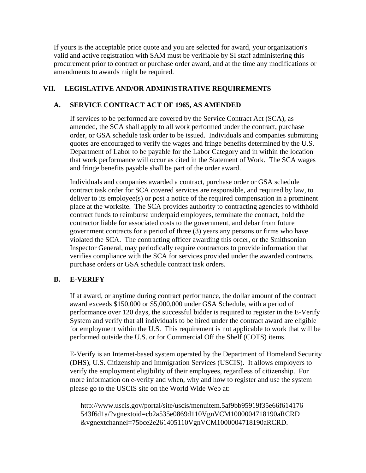If yours is the acceptable price quote and you are selected for award, your organization's valid and active registration with SAM must be verifiable by SI staff administering this procurement prior to contract or purchase order award, and at the time any modifications or amendments to awards might be required.

### **VII. LEGISLATIVE AND/OR ADMINISTRATIVE REQUIREMENTS**

### **A. SERVICE CONTRACT ACT OF 1965, AS AMENDED**

If services to be performed are covered by the Service Contract Act (SCA), as amended, the SCA shall apply to all work performed under the contract, purchase order, or GSA schedule task order to be issued. Individuals and companies submitting quotes are encouraged to verify the wages and fringe benefits determined by the U.S. Department of Labor to be payable for the Labor Category and in within the location that work performance will occur as cited in the Statement of Work. The SCA wages and fringe benefits payable shall be part of the order award.

Individuals and companies awarded a contract, purchase order or GSA schedule contract task order for SCA covered services are responsible, and required by law, to deliver to its employee(s) or post a notice of the required compensation in a prominent place at the worksite. The SCA provides authority to contracting agencies to withhold contract funds to reimburse underpaid employees, terminate the contract, hold the contractor liable for associated costs to the government, and debar from future government contracts for a period of three (3) years any persons or firms who have violated the SCA. The contracting officer awarding this order, or the Smithsonian Inspector General, may periodically require contractors to provide information that verifies compliance with the SCA for services provided under the awarded contracts, purchase orders or GSA schedule contract task orders.

## **B. E-VERIFY**

If at award, or anytime during contract performance, the dollar amount of the contract award exceeds \$150,000 or \$5,000,000 under GSA Schedule, with a period of performance over 120 days, the successful bidder is required to register in the E-Verify System and verify that all individuals to be hired under the contract award are eligible for employment within the U.S. This requirement is not applicable to work that will be performed outside the U.S. or for Commercial Off the Shelf (COTS) items.

E-Verify is an Internet-based system operated by the Department of Homeland Security (DHS), U.S. Citizenship and Immigration Services (USCIS). It allows employers to verify the employment eligibility of their employees, regardless of citizenship. For more information on e-verify and when, why and how to register and use the system please go to the USCIS site on the World Wide Web at:

http://www.uscis.gov/portal/site/uscis/menuitem.5af9bb95919f35e66f614176 543f6d1a/?vgnextoid=cb2a535e0869d110VgnVCM1000004718190aRCRD &vgnextchannel=75bce2e261405110VgnVCM1000004718190aRCRD.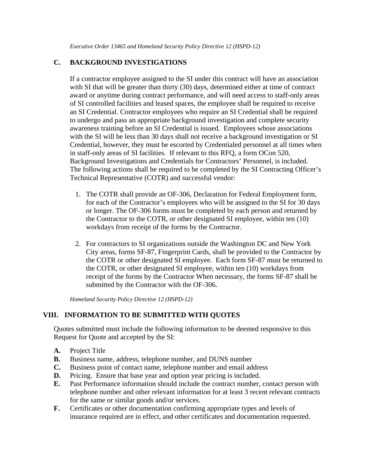# **C. BACKGROUND INVESTIGATIONS**

If a contractor employee assigned to the SI under this contract will have an association with SI that will be greater than thirty (30) days, determined either at time of contract award or anytime during contract performance, and will need access to staff-only areas of SI controlled facilities and leased spaces, the employee shall be required to receive an SI Credential. Contractor employees who require an SI Credential shall be required to undergo and pass an appropriate background investigation and complete security awareness training before an SI Credential is issued. Employees whose associations with the SI will be less than 30 days shall not receive a background investigation or SI Credential, however, they must be escorted by Credentialed personnel at all times when in staff-only areas of SI facilities. If relevant to this RFQ, a form OCon 520, Background Investigations and Credentials for Contractors' Personnel, is included. The following actions shall be required to be completed by the SI Contracting Officer's Technical Representative (COTR) and successful vendor:

- 1. The COTR shall provide an OF-306, Declaration for Federal Employment form, for each of the Contractor's employees who will be assigned to the SI for 30 days or longer. The OF-306 forms must be completed by each person and returned by the Contractor to the COTR, or other designated SI employee, within ten (10) workdays from receipt of the forms by the Contractor.
- 2. For contractors to SI organizations outside the Washington DC and New York City areas, forms SF-87, Fingerprint Cards, shall be provided to the Contractor by the COTR or other designated SI employee. Each form SF-87 must be returned to the COTR, or other designated SI employee, within ten (10) workdays from receipt of the forms by the Contractor When necessary, the forms SF-87 shall be submitted by the Contractor with the OF-306.

*Homeland Security Policy Directive 12 (HSPD-12)*

## **VIII. INFORMATION TO BE SUBMITTED WITH QUOTES**

Quotes submitted must include the following information to be deemed responsive to this Request for Quote and accepted by the SI:

- **A.** Project Title
- **B.** Business name, address, telephone number, and DUNS number
- **C.** Business point of contact name, telephone number and email address
- **D.** Pricing. Ensure that base year and option year pricing is included.
- **E.** Past Performance information should include the contract number, contact person with telephone number and other relevant information for at least 3 recent relevant contracts for the same or similar goods and/or services.
- **F.** Certificates or other documentation confirming appropriate types and levels of insurance required are in effect, and other certificates and documentation requested.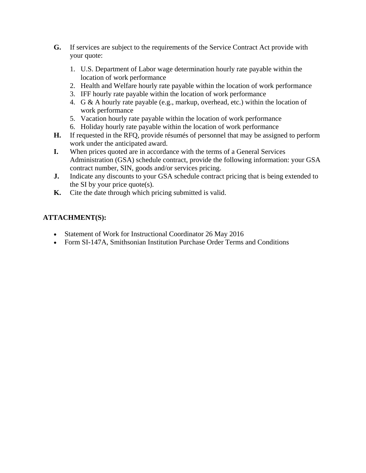- **G.** If services are subject to the requirements of the Service Contract Act provide with your quote:
	- 1. U.S. Department of Labor wage determination hourly rate payable within the location of work performance
	- 2. Health and Welfare hourly rate payable within the location of work performance
	- 3. IFF hourly rate payable within the location of work performance
	- 4. G & A hourly rate payable (e.g., markup, overhead, etc.) within the location of work performance
	- 5. Vacation hourly rate payable within the location of work performance
	- 6. Holiday hourly rate payable within the location of work performance
- **H.** If requested in the RFQ, provide résumés of personnel that may be assigned to perform work under the anticipated award.
- **I.** When prices quoted are in accordance with the terms of a General Services Administration (GSA) schedule contract, provide the following information: your GSA contract number, SIN, goods and/or services pricing.
- **J.** Indicate any discounts to your GSA schedule contract pricing that is being extended to the SI by your price quote(s).
- **K.** Cite the date through which pricing submitted is valid.

# **ATTACHMENT(S):**

- Statement of Work for Instructional Coordinator 26 May 2016
- Form SI-147A, Smithsonian Institution Purchase Order Terms and Conditions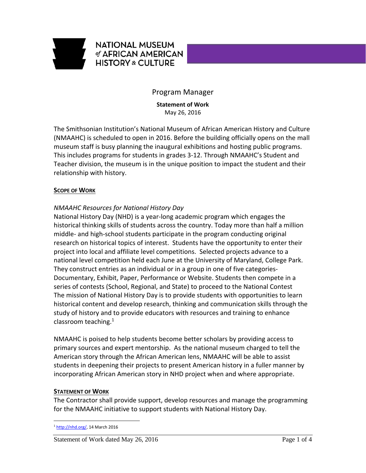

# **NATIONAL MUSEUM** of AFRICAN AMERICAN **HISTORY & CULTURE**

## Program Manager

**Statement of Work** May 26, 2016

The Smithsonian Institution's National Museum of African American History and Culture (NMAAHC) is scheduled to open in 2016. Before the building officially opens on the mall museum staff is busy planning the inaugural exhibitions and hosting public programs. This includes programs for students in grades 3‐12. Through NMAAHC's Student and Teacher division, the museum is in the unique position to impact the student and their relationship with history.

#### **SCOPE OF WORK**

## *NMAAHC Resources for National History Day*

National History Day (NHD) is a year‐long academic program which engages the historical thinking skills of students across the country. Today more than half a million middle‐ and high‐school students participate in the program conducting original research on historical topics of interest. Students have the opportunity to enter their project into local and affiliate level competitions. Selected projects advance to a national level competition held each June at the University of Maryland, College Park. They construct entries as an individual or in a group in one of five categories‐ Documentary, Exhibit, Paper, Performance or Website. Students then compete in a series of contests (School, Regional, and State) to proceed to the National Contest The mission of National History Day is to provide students with opportunities to learn historical content and develop research, thinking and communication skills through the study of history and to provide educators with resources and training to enhance classroom teaching. $1$ 

NMAAHC is poised to help students become better scholars by providing access to primary sources and expert mentorship. As the national museum charged to tell the American story through the African American lens, NMAAHC will be able to assist students in deepening their projects to present American history in a fuller manner by incorporating African American story in NHD project when and where appropriate.

#### **STATEMENT OF WORK**

The Contractor shall provide support, develop resources and manage the programming for the NMAAHC initiative to support students with National History Day.

 $\overline{a}$ <sup>1</sup> http://nhd.org/, 14 March 2016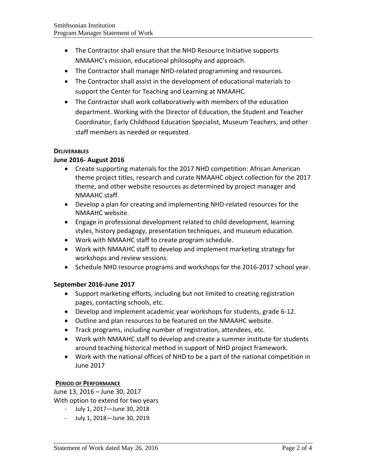- The Contractor shall ensure that the NHD Resource Initiative supports NMAAHC's mission, educational philosophy and approach.
- The Contractor shall manage NHD‐related programming and resources.
- The Contractor shall assist in the development of educational materials to support the Center for Teaching and Learning at NMAAHC.
- The Contractor shall work collaboratively with members of the education department. Working with the Director of Education, the Student and Teacher Coordinator, Early Childhood Education Specialist, Museum Teachers, and other staff members as needed or requested.

#### **DELIVERABLES**

#### **June 2016‐ August 2016**

- Create supporting materials for the 2017 NHD competition: African American theme project titles, research and curate NMAAHC object collection for the 2017 theme, and other website resources as determined by project manager and NMAAHC staff.
- Develop a plan for creating and implementing NHD-related resources for the NMAAHC website.
- Engage in professional development related to child development, learning styles, history pedagogy, presentation techniques, and museum education.
- Work with NMAAHC staff to create program schedule.
- Work with NMAAHC staff to develop and implement marketing strategy for workshops and review sessions.
- Schedule NHD resource programs and workshops for the 2016-2017 school year.

#### **September 2016‐June 2017**

- Support marketing efforts, including but not limited to creating registration pages, contacting schools, etc.
- Develop and implement academic year workshops for students, grade 6‐12.
- Outline and plan resources to be featured on the NMAAHC website.
- Track programs, including number of registration, attendees, etc.
- Work with NMAAHC staff to develop and create a summer institute for students around teaching historical method in support of NHD project framework.
- Work with the national offices of NHD to be a part of the national competition in June 2017

#### **PERIOD OF PERFORMANCE**

June 13, 2016 – June 30, 2017 With option to extend for two years

- ‐ July 1, 2017—June 30, 2018
- ‐ July 1, 2018—June 30, 2019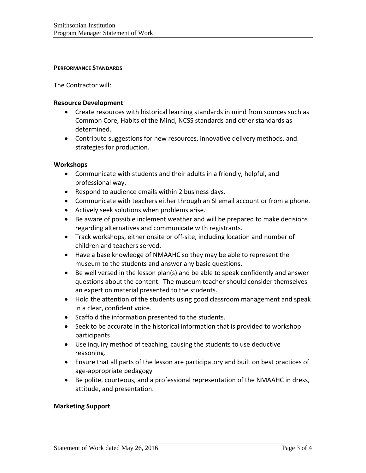#### **PERFORMANCE STANDARDS**

The Contractor will:

#### **Resource Development**

- Create resources with historical learning standards in mind from sources such as Common Core, Habits of the Mind, NCSS standards and other standards as determined.
- Contribute suggestions for new resources, innovative delivery methods, and strategies for production.

#### **Workshops**

- Communicate with students and their adults in a friendly, helpful, and professional way.
- Respond to audience emails within 2 business days.
- Communicate with teachers either through an SI email account or from a phone.
- Actively seek solutions when problems arise.
- Be aware of possible inclement weather and will be prepared to make decisions regarding alternatives and communicate with registrants.
- Track workshops, either onsite or off-site, including location and number of children and teachers served.
- Have a base knowledge of NMAAHC so they may be able to represent the museum to the students and answer any basic questions.
- Be well versed in the lesson plan(s) and be able to speak confidently and answer questions about the content. The museum teacher should consider themselves an expert on material presented to the students.
- Hold the attention of the students using good classroom management and speak in a clear, confident voice.
- Scaffold the information presented to the students.
- Seek to be accurate in the historical information that is provided to workshop participants
- Use inquiry method of teaching, causing the students to use deductive reasoning.
- Ensure that all parts of the lesson are participatory and built on best practices of age‐appropriate pedagogy
- Be polite, courteous, and a professional representation of the NMAAHC in dress, attitude, and presentation.

#### **Marketing Support**